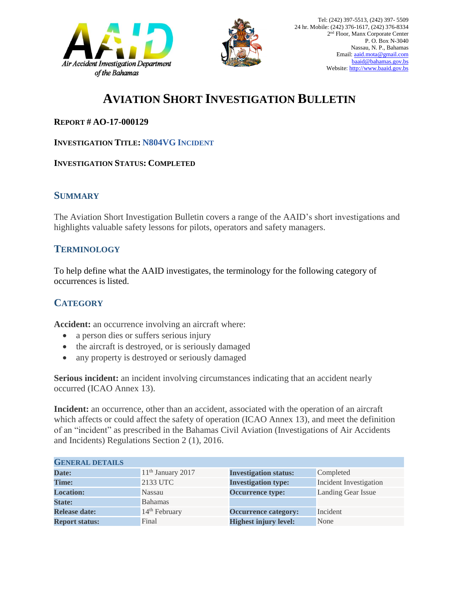



# **AVIATION SHORT INVESTIGATION BULLETIN**

#### **REPORT # AO-17-000129**

#### **INVESTIGATION TITLE: N804VG INCIDENT**

#### **INVESTIGATION STATUS: COMPLETED**

#### **SUMMARY**

The Aviation Short Investigation Bulletin covers a range of the AAID's short investigations and highlights valuable safety lessons for pilots, operators and safety managers.

### **TERMINOLOGY**

To help define what the AAID investigates, the terminology for the following category of occurrences is listed.

## **CATEGORY**

**Accident:** an occurrence involving an aircraft where:

- a person dies or suffers serious injury
- the aircraft is destroyed, or is seriously damaged
- any property is destroyed or seriously damaged

**Serious incident:** an incident involving circumstances indicating that an accident nearly occurred (ICAO Annex 13).

**Incident:** an occurrence, other than an accident, associated with the operation of an aircraft which affects or could affect the safety of operation (ICAO Annex 13), and meet the definition of an "incident" as prescribed in the Bahamas Civil Aviation (Investigations of Air Accidents and Incidents) Regulations Section 2 (1), 2016.

| <b>GENERAL DETAILS</b> |                           |                              |                               |
|------------------------|---------------------------|------------------------------|-------------------------------|
| Date:                  | $11th$ January 2017       | <b>Investigation status:</b> | Completed                     |
| <b>Time:</b>           | 2133 UTC                  | <b>Investigation type:</b>   | <b>Incident Investigation</b> |
| <b>Location:</b>       | Nassau                    | <b>Occurrence type:</b>      | Landing Gear Issue            |
| <b>State:</b>          | Bahamas                   |                              |                               |
| <b>Release date:</b>   | 14 <sup>th</sup> February | <b>Occurrence category:</b>  | Incident                      |
| <b>Report status:</b>  | Final                     | <b>Highest injury level:</b> | None                          |